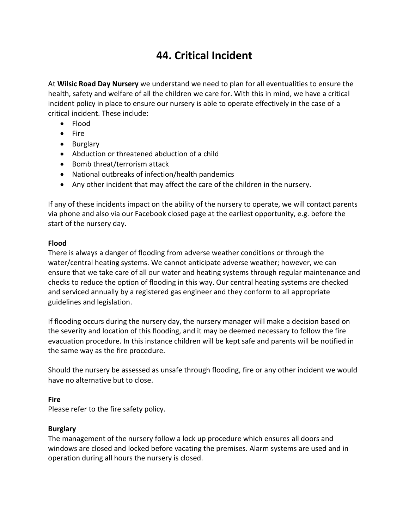# **44. Critical Incident**

At **Wilsic Road Day Nursery** we understand we need to plan for all eventualities to ensure the health, safety and welfare of all the children we care for. With this in mind, we have a critical incident policy in place to ensure our nursery is able to operate effectively in the case of a critical incident. These include:

- Flood
- Fire
- Burglary
- Abduction or threatened abduction of a child
- Bomb threat/terrorism attack
- National outbreaks of infection/health pandemics
- Any other incident that may affect the care of the children in the nursery.

If any of these incidents impact on the ability of the nursery to operate, we will contact parents via phone and also via our Facebook closed page at the earliest opportunity, e.g. before the start of the nursery day.

## **Flood**

There is always a danger of flooding from adverse weather conditions or through the water/central heating systems. We cannot anticipate adverse weather; however, we can ensure that we take care of all our water and heating systems through regular maintenance and checks to reduce the option of flooding in this way. Our central heating systems are checked and serviced annually by a registered gas engineer and they conform to all appropriate guidelines and legislation.

If flooding occurs during the nursery day, the nursery manager will make a decision based on the severity and location of this flooding, and it may be deemed necessary to follow the fire evacuation procedure. In this instance children will be kept safe and parents will be notified in the same way as the fire procedure.

Should the nursery be assessed as unsafe through flooding, fire or any other incident we would have no alternative but to close.

# **Fire**

Please refer to the fire safety policy.

# **Burglary**

The management of the nursery follow a lock up procedure which ensures all doors and windows are closed and locked before vacating the premises. Alarm systems are used and in operation during all hours the nursery is closed.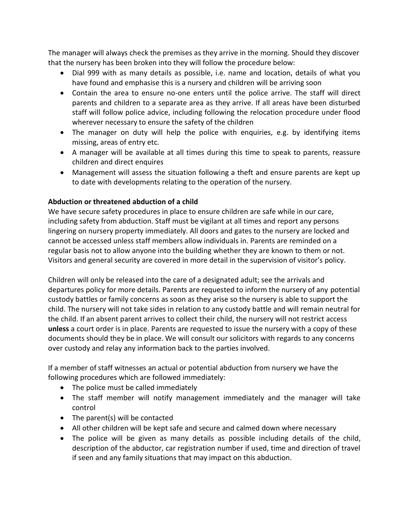The manager will always check the premises as they arrive in the morning. Should they discover that the nursery has been broken into they will follow the procedure below:

- Dial 999 with as many details as possible, i.e. name and location, details of what you have found and emphasise this is a nursery and children will be arriving soon
- Contain the area to ensure no-one enters until the police arrive. The staff will direct parents and children to a separate area as they arrive. If all areas have been disturbed staff will follow police advice, including following the relocation procedure under flood wherever necessary to ensure the safety of the children
- The manager on duty will help the police with enquiries, e.g. by identifying items missing, areas of entry etc.
- A manager will be available at all times during this time to speak to parents, reassure children and direct enquires
- Management will assess the situation following a theft and ensure parents are kept up to date with developments relating to the operation of the nursery.

# **Abduction or threatened abduction of a child**

We have secure safety procedures in place to ensure children are safe while in our care, including safety from abduction. Staff must be vigilant at all times and report any persons lingering on nursery property immediately. All doors and gates to the nursery are locked and cannot be accessed unless staff members allow individuals in. Parents are reminded on a regular basis not to allow anyone into the building whether they are known to them or not. Visitors and general security are covered in more detail in the supervision of visitor's policy.

Children will only be released into the care of a designated adult; see the arrivals and departures policy for more details. Parents are requested to inform the nursery of any potential custody battles or family concerns as soon as they arise so the nursery is able to support the child. The nursery will not take sides in relation to any custody battle and will remain neutral for the child. If an absent parent arrives to collect their child, the nursery will not restrict access **unless** a court order is in place. Parents are requested to issue the nursery with a copy of these documents should they be in place. We will consult our solicitors with regards to any concerns over custody and relay any information back to the parties involved.

If a member of staff witnesses an actual or potential abduction from nursery we have the following procedures which are followed immediately:

- The police must be called immediately
- The staff member will notify management immediately and the manager will take control
- The parent(s) will be contacted
- All other children will be kept safe and secure and calmed down where necessary
- The police will be given as many details as possible including details of the child, description of the abductor, car registration number if used, time and direction of travel if seen and any family situations that may impact on this abduction.